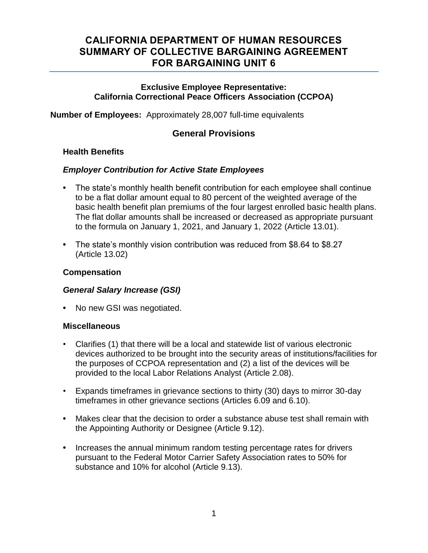# **CALIFORNIA DEPARTMENT OF HUMAN RESOURCES SUMMARY OF COLLECTIVE BARGAINING AGREEMENT FOR BARGAINING UNIT 6**

#### **Exclusive Employee Representative: California Correctional Peace Officers Association (CCPOA)**

**Number of Employees:** Approximately 28,007 full-time equivalents

## **General Provisions**

#### **Health Benefits**

#### *Employer Contribution for Active State Employees*

- **•** The state's monthly health benefit contribution for each employee shall continue to be a flat dollar amount equal to 80 percent of the weighted average of the basic health benefit plan premiums of the four largest enrolled basic health plans. The flat dollar amounts shall be increased or decreased as appropriate pursuant to the formula on January 1, 2021, and January 1, 2022 (Article 13.01).
- **•** The state's monthly vision contribution was reduced from \$8.64 to \$8.27 (Article 13.02)

#### **Compensation**

#### *General Salary Increase (GSI)*

**•** No new GSI was negotiated.

#### **Miscellaneous**

- Clarifies (1) that there will be a local and statewide list of various electronic devices authorized to be brought into the security areas of institutions/facilities for the purposes of CCPOA representation and (2) a list of the devices will be provided to the local Labor Relations Analyst (Article 2.08).
- Expands timeframes in grievance sections to thirty (30) days to mirror 30-day timeframes in other grievance sections (Articles 6.09 and 6.10).
- **•** Makes clear that the decision to order a substance abuse test shall remain with the Appointing Authority or Designee (Article 9.12).
- **•** Increases the annual minimum random testing percentage rates for drivers pursuant to the Federal Motor Carrier Safety Association rates to 50% for substance and 10% for alcohol (Article 9.13).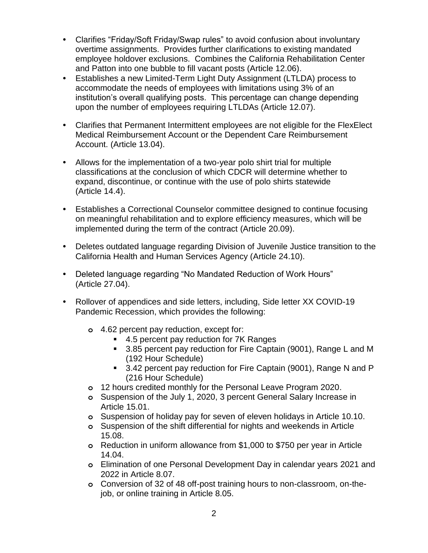- **•** Clarifies "Friday/Soft Friday/Swap rules" to avoid confusion about involuntary overtime assignments. Provides further clarifications to existing mandated employee holdover exclusions. Combines the California Rehabilitation Center and Patton into one bubble to fill vacant posts (Article 12.06).
- **•** Establishes a new Limited-Term Light Duty Assignment (LTLDA) process to accommodate the needs of employees with limitations using 3% of an institution's overall qualifying posts. This percentage can change depending upon the number of employees requiring LTLDAs (Article 12.07).
- **•** Clarifies that Permanent Intermittent employees are not eligible for the FlexElect Medical Reimbursement Account or the Dependent Care Reimbursement Account. (Article 13.04).
- **•** Allows for the implementation of a two-year polo shirt trial for multiple classifications at the conclusion of which CDCR will determine whether to expand, discontinue, or continue with the use of polo shirts statewide (Article 14.4).
- **•** Establishes a Correctional Counselor committee designed to continue focusing on meaningful rehabilitation and to explore efficiency measures, which will be implemented during the term of the contract (Article 20.09).
- **•** Deletes outdated language regarding Division of Juvenile Justice transition to the California Health and Human Services Agency (Article 24.10).
- **•** Deleted language regarding "No Mandated Reduction of Work Hours" (Article 27.04).
- **•** Rollover of appendices and side letters, including, Side letter XX COVID-19 Pandemic Recession, which provides the following:
	- **o** 4.62 percent pay reduction, except for:
		- 4.5 percent pay reduction for 7K Ranges
		- 3.85 percent pay reduction for Fire Captain (9001), Range L and M (192 Hour Schedule)
		- 3.42 percent pay reduction for Fire Captain (9001), Range N and P (216 Hour Schedule)
	- **o** 12 hours credited monthly for the Personal Leave Program 2020.
	- **o** Suspension of the July 1, 2020, 3 percent General Salary Increase in Article 15.01.
	- **o** Suspension of holiday pay for seven of eleven holidays in Article 10.10.
	- **o** Suspension of the shift differential for nights and weekends in Article 15.08.
	- **o** Reduction in uniform allowance from \$1,000 to \$750 per year in Article 14.04.
	- **o** Elimination of one Personal Development Day in calendar years 2021 and 2022 in Article 8.07.
	- **o** Conversion of 32 of 48 off-post training hours to non-classroom, on-thejob, or online training in Article 8.05.